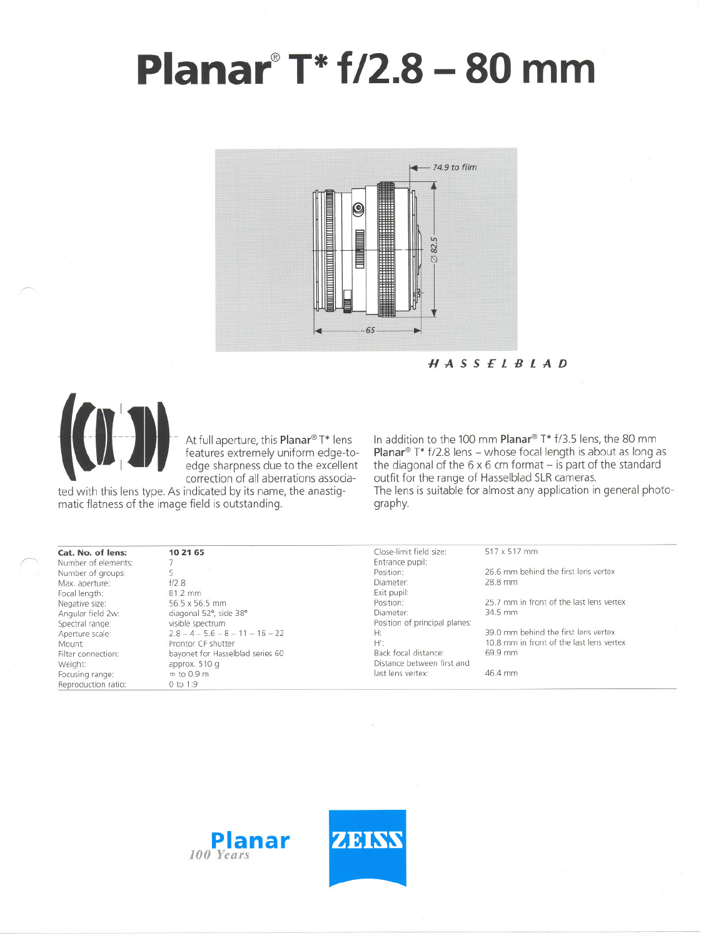## **Planar@T\* f/2.8- <sup>80</sup> mm**



HASSElBlAD



*f'*

- -- -- - Atfullaperture, this Planar@T\* lens **IJ EXECUTE:** Teatures extremely uniform edge-tocorrection of all aberrations associa-

ted with this lens type. As indicated by its name, the anastigmatic flatness of the image field is outstanding.

In addition to the 100 mm Planar® T\* f/3.5 lens, the 80 mm **Planar**® T\* f/2.8 lens - whose focal length is about as long as the diagonal of the  $6 \times 6$  cm format – is part of the standard outfit tor the range of Hasselblad SLR cameras. The lens is suitable for almost any application in general photography.

| Cat. No. of lens:   | 10 21 65                           | Close-limit field size:       | 517 x 517 mm                             |  |
|---------------------|------------------------------------|-------------------------------|------------------------------------------|--|
| Number of elements: |                                    | Entrance pupil:               |                                          |  |
| Number of groups:   |                                    | Position:                     | 26.6 mm behind the first lens vertex     |  |
| Max. aperture:      | f/2.8                              | Diameter:                     | 28.8 mm                                  |  |
| Focal length:       | 81.2 mm                            | Exit pupil:                   |                                          |  |
| Negative size:      | 56.5 x 56.5 mm                     | Position:                     | 25.7 mm in front of the last lens vertex |  |
| Angular field 2w:   | diagonal 52°, side 38°             | Diameter:                     | 34.5 mm                                  |  |
| Spectral range:     | visible spectrum                   | Position of principal planes: |                                          |  |
| Aperture scale:     | $2.8 - 4 - 5.6 - 8 - 11 - 16 - 22$ | H:                            | 39.0 mm behind the first lens vertex     |  |
| Mount:              | Prontor CF shutter                 | $H^{\prime}$                  | 10.8 mm in front of the last lens vertex |  |
| Filter connection:  | bayonet for Hasselblad series 60   | Back focal distance:          | 69.9 mm                                  |  |
| Weight:             | approx. 510 g                      | Distance between first and    |                                          |  |
| Focusing range:     | $\infty$ to 0.9 m                  | last lens vertex:             | 46.4 mm                                  |  |
| Reproduction ratio: | 0 to 1:9                           |                               |                                          |  |